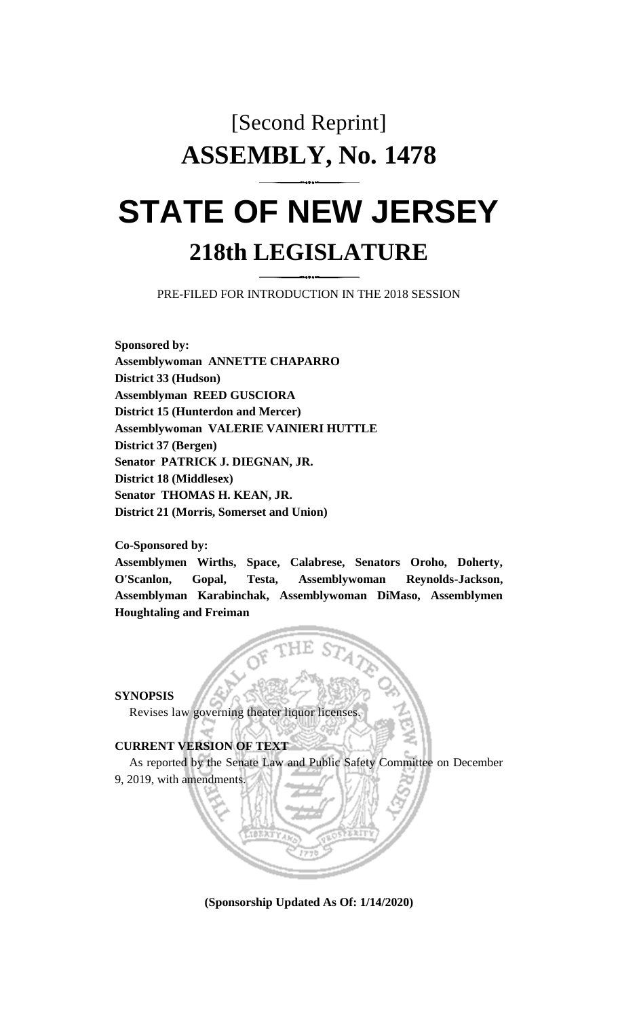## [Second Reprint] **ASSEMBLY, No. 1478**

## **STATE OF NEW JERSEY 218th LEGISLATURE**

PRE-FILED FOR INTRODUCTION IN THE 2018 SESSION

**Sponsored by: Assemblywoman ANNETTE CHAPARRO District 33 (Hudson) Assemblyman REED GUSCIORA District 15 (Hunterdon and Mercer) Assemblywoman VALERIE VAINIERI HUTTLE District 37 (Bergen) Senator PATRICK J. DIEGNAN, JR. District 18 (Middlesex) Senator THOMAS H. KEAN, JR. District 21 (Morris, Somerset and Union)**

**Co-Sponsored by:**

**Assemblymen Wirths, Space, Calabrese, Senators Oroho, Doherty, O'Scanlon, Gopal, Testa, Assemblywoman Reynolds-Jackson, Assemblyman Karabinchak, Assemblywoman DiMaso, Assemblymen Houghtaling and Freiman**

**SYNOPSIS**

Revises law governing theater liquor licenses.

**CURRENT VERSION OF TEXT** 

As reported by the Senate Law and Public Safety Committee on December 9, 2019, with amendments.

**(Sponsorship Updated As Of: 1/14/2020)**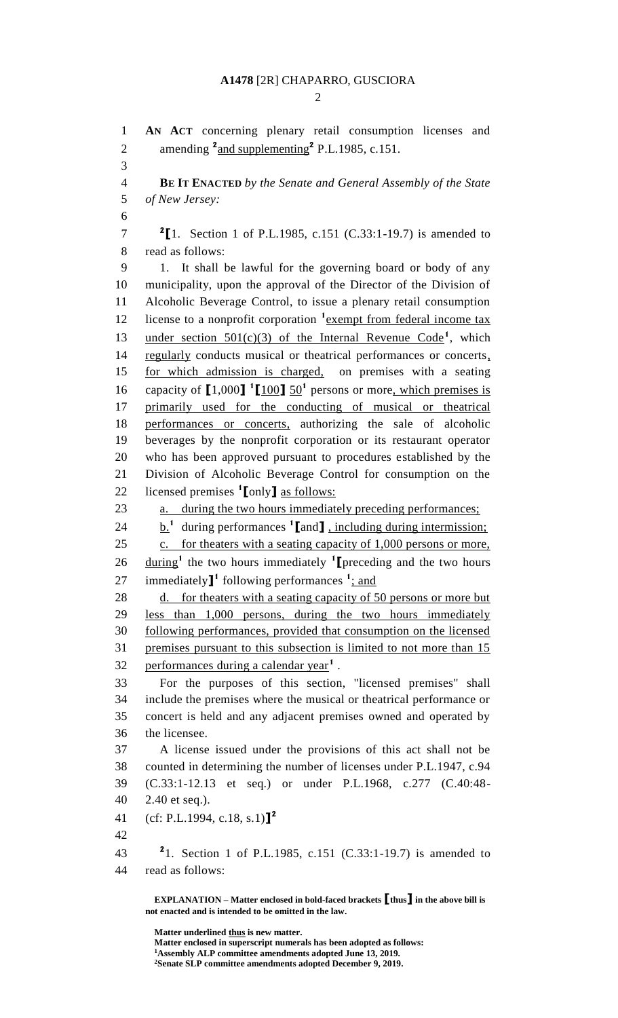## **A1478** [2R] CHAPARRO, GUSCIORA

 $\mathcal{D}_{\mathcal{L}}$ 

 **AN ACT** concerning plenary retail consumption licenses and 2 amending <sup>2</sup> and supplementing<sup>2</sup> P.L.1985, c.151. **BE IT ENACTED** *by the Senate and General Assembly of the State of New Jersey:* **[**1. Section 1 of P.L.1985, c.151 (C.33:1-19.7) is amended to read as follows: 1. It shall be lawful for the governing board or body of any municipality, upon the approval of the Director of the Division of Alcoholic Beverage Control, to issue a plenary retail consumption 12 license to a nonprofit corporation <sup>1</sup> exempt from federal income tax 13 under section  $501(c)(3)$  of the Internal Revenue Code<sup>1</sup>, which 14 regularly conducts musical or theatrical performances or concerts, for which admission is charged, on premises with a seating 16 capacity of  $[1,000]$  <sup>1</sup> $[100]$   $50<sup>1</sup>$  persons or more, which premises is primarily used for the conducting of musical or theatrical performances or concerts, authorizing the sale of alcoholic beverages by the nonprofit corporation or its restaurant operator who has been approved pursuant to procedures established by the Division of Alcoholic Beverage Control for consumption on the licensed premises **<sup>1</sup> [**only**]** as follows: 23 a. during the two hours immediately preceding performances; b.**<sup>1</sup>** during performances **<sup>1</sup> [**and**]** , including during intermission; 25 c. for theaters with a seating capacity of 1,000 persons or more, 26 during<sup>1</sup> the two hours immediately <sup>1</sup> [preceding and the two hours 27 immediately<sup>1</sup> following performances <sup>1</sup>; and d. for theaters with a seating capacity of 50 persons or more but less than 1,000 persons, during the two hours immediately following performances, provided that consumption on the licensed premises pursuant to this subsection is limited to not more than 15 32 performances during a calendar year<sup>1</sup>. For the purposes of this section, "licensed premises" shall include the premises where the musical or theatrical performance or concert is held and any adjacent premises owned and operated by the licensee. A license issued under the provisions of this act shall not be counted in determining the number of licenses under P.L.1947, c.94 (C.33:1-12.13 et seq.) or under P.L.1968, c.277 (C.40:48- 2.40 et seq.). (cf: P.L.1994, c.18, s.1)**] 2** 1. Section 1 of P.L.1985, c.151 (C.33:1-19.7) is amended to read as follows:

**EXPLANATION – Matter enclosed in bold-faced brackets [thus] in the above bill is not enacted and is intended to be omitted in the law.**

**Matter underlined thus is new matter.**

**Matter enclosed in superscript numerals has been adopted as follows:**

**Assembly ALP committee amendments adopted June 13, 2019.**

**Senate SLP committee amendments adopted December 9, 2019.**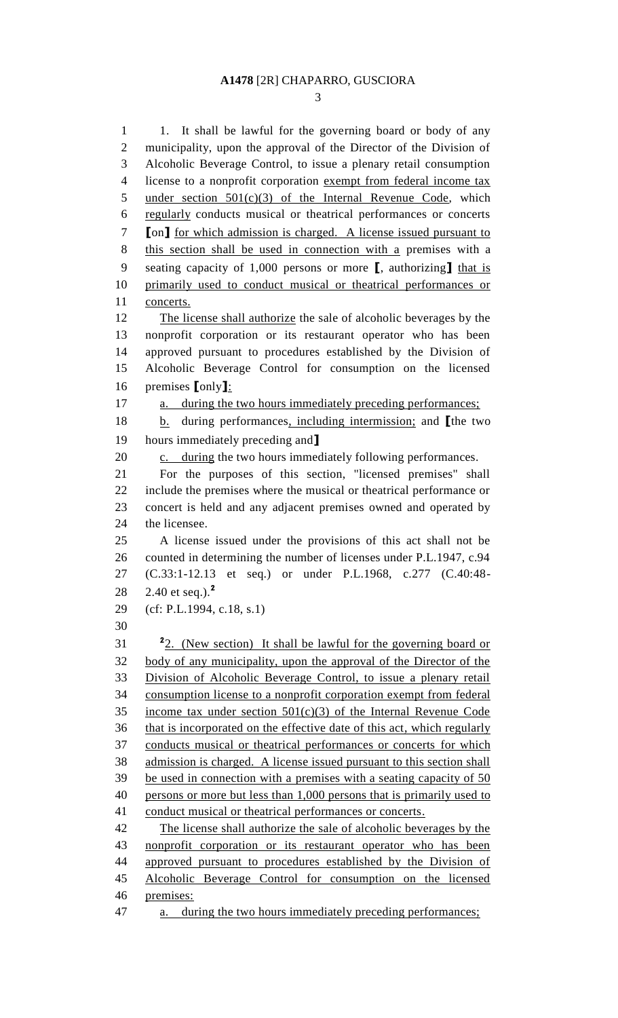1 1. It shall be lawful for the governing board or body of any municipality, upon the approval of the Director of the Division of Alcoholic Beverage Control, to issue a plenary retail consumption license to a nonprofit corporation exempt from federal income tax 5 under section  $501(c)(3)$  of the Internal Revenue Code, which regularly conducts musical or theatrical performances or concerts **[**on**]** for which admission is charged. A license issued pursuant to this section shall be used in connection with a premises with a seating capacity of 1,000 persons or more **[**, authorizing**]** that is primarily used to conduct musical or theatrical performances or concerts. The license shall authorize the sale of alcoholic beverages by the nonprofit corporation or its restaurant operator who has been approved pursuant to procedures established by the Division of Alcoholic Beverage Control for consumption on the licensed premises **[**only**]**: 17 a. during the two hours immediately preceding performances; b. during performances, including intermission; and **[**the two hours immediately preceding and**]** 20 c. during the two hours immediately following performances. For the purposes of this section, "licensed premises" shall include the premises where the musical or theatrical performance or concert is held and any adjacent premises owned and operated by the licensee. A license issued under the provisions of this act shall not be counted in determining the number of licenses under P.L.1947, c.94 (C.33:1-12.13 et seq.) or under P.L.1968, c.277 (C.40:48- 2.40 et seq.).**<sup>2</sup>** (cf: P.L.1994, c.18, s.1) 2. (New section) It shall be lawful for the governing board or body of any municipality, upon the approval of the Director of the Division of Alcoholic Beverage Control, to issue a plenary retail consumption license to a nonprofit corporation exempt from federal 35 income tax under section  $501(c)(3)$  of the Internal Revenue Code that is incorporated on the effective date of this act, which regularly conducts musical or theatrical performances or concerts for which admission is charged. A license issued pursuant to this section shall be used in connection with a premises with a seating capacity of 50 persons or more but less than 1,000 persons that is primarily used to conduct musical or theatrical performances or concerts. 42 The license shall authorize the sale of alcoholic beverages by the nonprofit corporation or its restaurant operator who has been approved pursuant to procedures established by the Division of Alcoholic Beverage Control for consumption on the licensed premises: a. during the two hours immediately preceding performances;